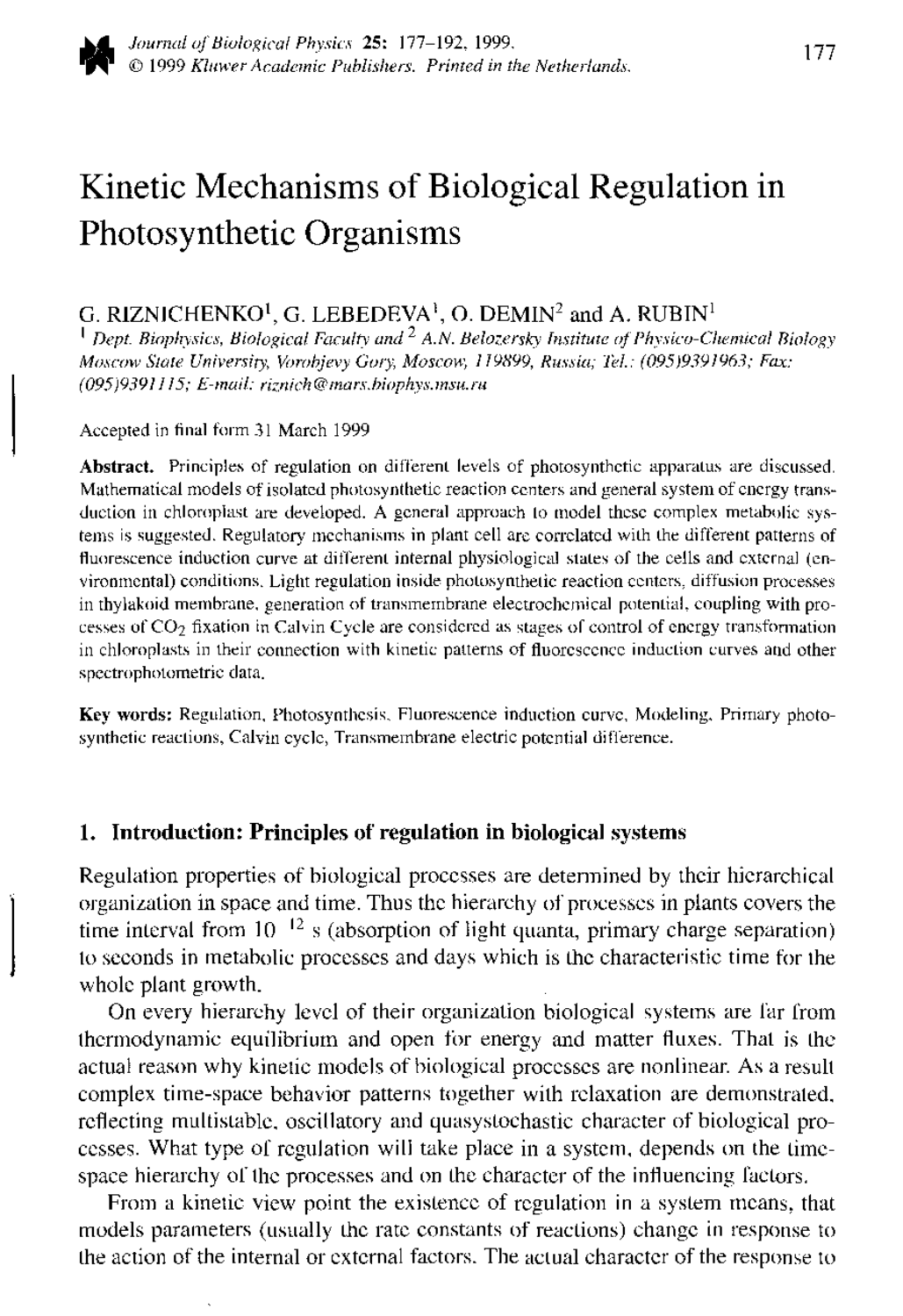

# Kinetic Mechanisms of Biological Regulation in Photosynthetic Organisms

## G, RIZNICHENKO<sup>1</sup>, G, LEBEDEVA<sup>1</sup>, O, DEMIN<sup>2</sup> and A, RUBIN<sup>1</sup>

I *Dept. Biophysics, Hiologtcai Facultv and* 2 A.N. *Beiorcrskv Institute of Physico-Chemical RiolORY Moscow State University, Vorohjevy GOI)', Moscow, 119N99, Russia;* tel. *(095)939/963; Fax: (095j9391115; E-mail: ri:.nich@mars.hiophY.l..msu.ru*

Accepted in final form 31 March 1999

Abstract. Principles of regulation on different levels of photosynthetic apparatus are discussed, Mathematical models of isolated photosynthetic reaction centers and general system of energy transduction in chloroplast are developed. A general approach to model these complex metabolic systems is suggested, Regulatory mechanisms in plant cell arc correlated with the different patterns of fluorescence induction curve at different internal physiological states of the cells and external (environmental) conditions, Light regulation inside photcsyntheric reaction centers, diffusion processes in thylakoid membrane. generation of transmembrane electrochemical potential. coupling with processes of *COl* fixation in Calvin Cycle are considered as stages of control of energy transformation in chloroplasts in their connection with kinetic patterns of fluorescence induction curves and other spectrophotometric data.

Key words: Regulation, Photosynthesis. Fluorescence induction curve. Modeling. Primary photosynthetic reactions, Calvin cycle, Transmembrane electric potential difference.

## **1. Introduction: Principles of regulation in biological** systems

Regulation properties of biological processes are determined by their hierarchical organization in space and time. Thus the hierarchy of processes in plants covers the time interval from  $10^{-12}$  s (absorption of light quanta, primary charge separation) to seconds in metabolic processes and days which is the characteristic time for the whole plant growth.

On every hierarchy level of their organization biological systems are far from thermodynamic equilibrium and open for energy and matter fluxes. That is the actual reason why kinetic models of biological processes are nonlinear. As a result complex time-space behavior patterns together with relaxation are demonstrated. reflecting multistablc. oscillatory and quasystochasric character of biological processes. What type of regulation will take place in a system. depends on the timespace hierarchy of the processes and on the character of the influencing factors.

From a kinetic view point the existence of regulation in a system means, that models parameters (usually the rate constants of reactions) change in response to the action of the internal or external factors. The actual character of the response to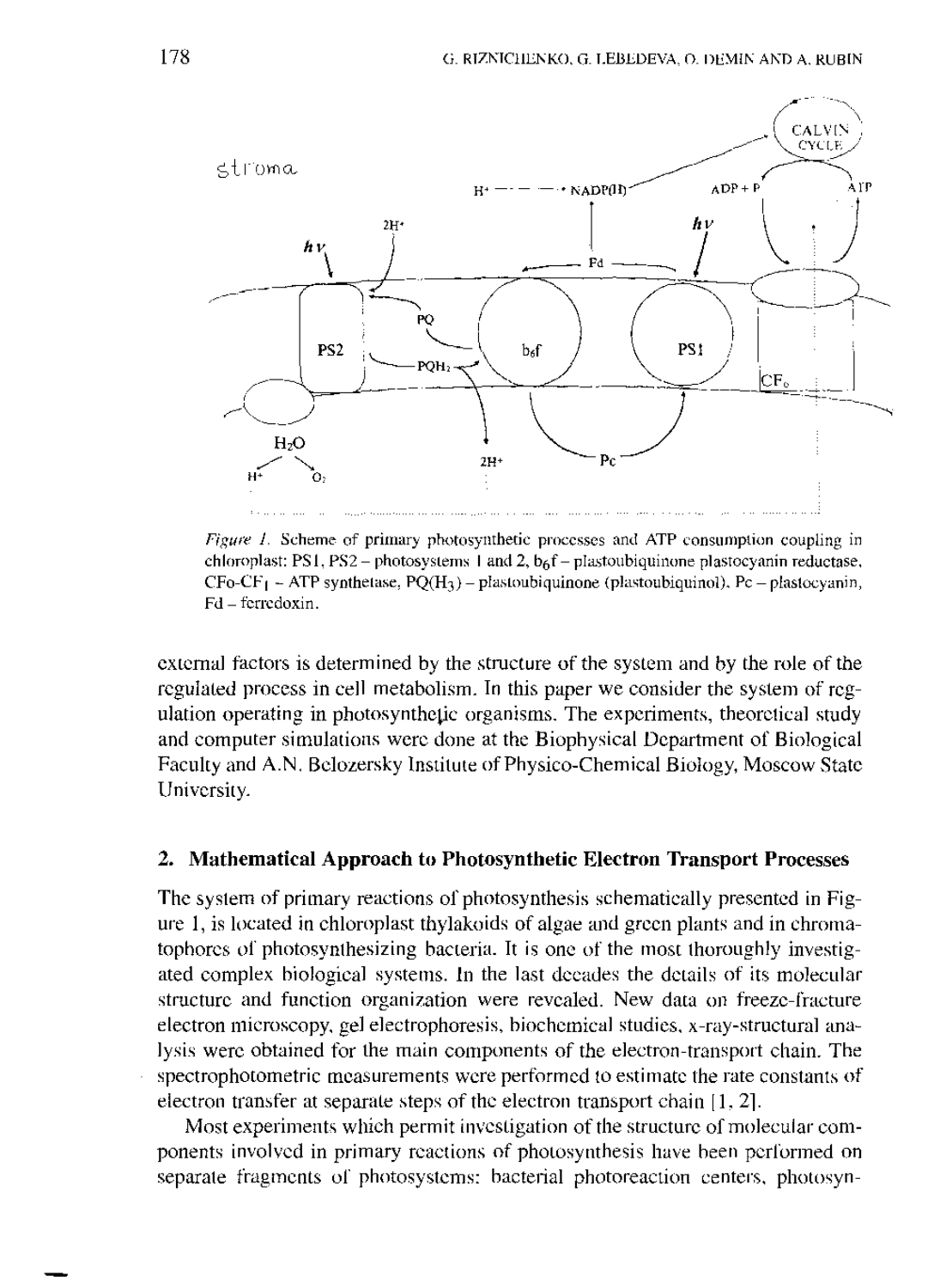

Figure 1. Scheme of primary photosynthetic processes and ATP consumption coupling in chloroplast: PS1, PS2 - photosystems 1 and 2,  $b<sub>6</sub>f$  - plastoubiquinone plastocyanin reductase.  $CFo-CF<sub>1</sub> - ATP$  synthetase,  $PQ(H<sub>3</sub>) - plastoubiquinone (plastoubiquinol)$ . Pc - plastocyanin, Fd - ferredoxin.

external factors is determined by the structure of the system and by the role of the regulated process in cell metabolism. In this paper we consider the system of regulation operating in photosynthetic organisms. The experiments, theoretical study and computer simulations were done at the Biophysical Department of Biological Faculty and A.N. Bclozersky Institute of Physico-Chemical Biology, Moscow State University.

#### 2. Mathematical Approach to Photosynthetic Electron Transport Processes

The system of primary reactions of photosynthesis schematically presented in Figure 1, is located in chloroplast thylakoids of algae and green plants and in chromatopborcs of photosynthesizing bacteria. It is one of the most thoroughly investigated complex biological systems. In the last decades the details of its molecular structure and function organization were revealed. New dara on freeze-fracture electron microscopy, gel electrophoresis, biochemical studies, x-ray-structural analysis were obtained for the main components of the electron-transport chain. The spectrophotometric measurements were performed to estimate the rate constants of electron transfer at separate steps of the electron transport chain [1, 21.

Most experiments which permit investigation of the structure of molecular components involved in primary reactions of photosynthesis have been performed on separate fragments of photosystcms: bacterial photoreaction centers, photosyn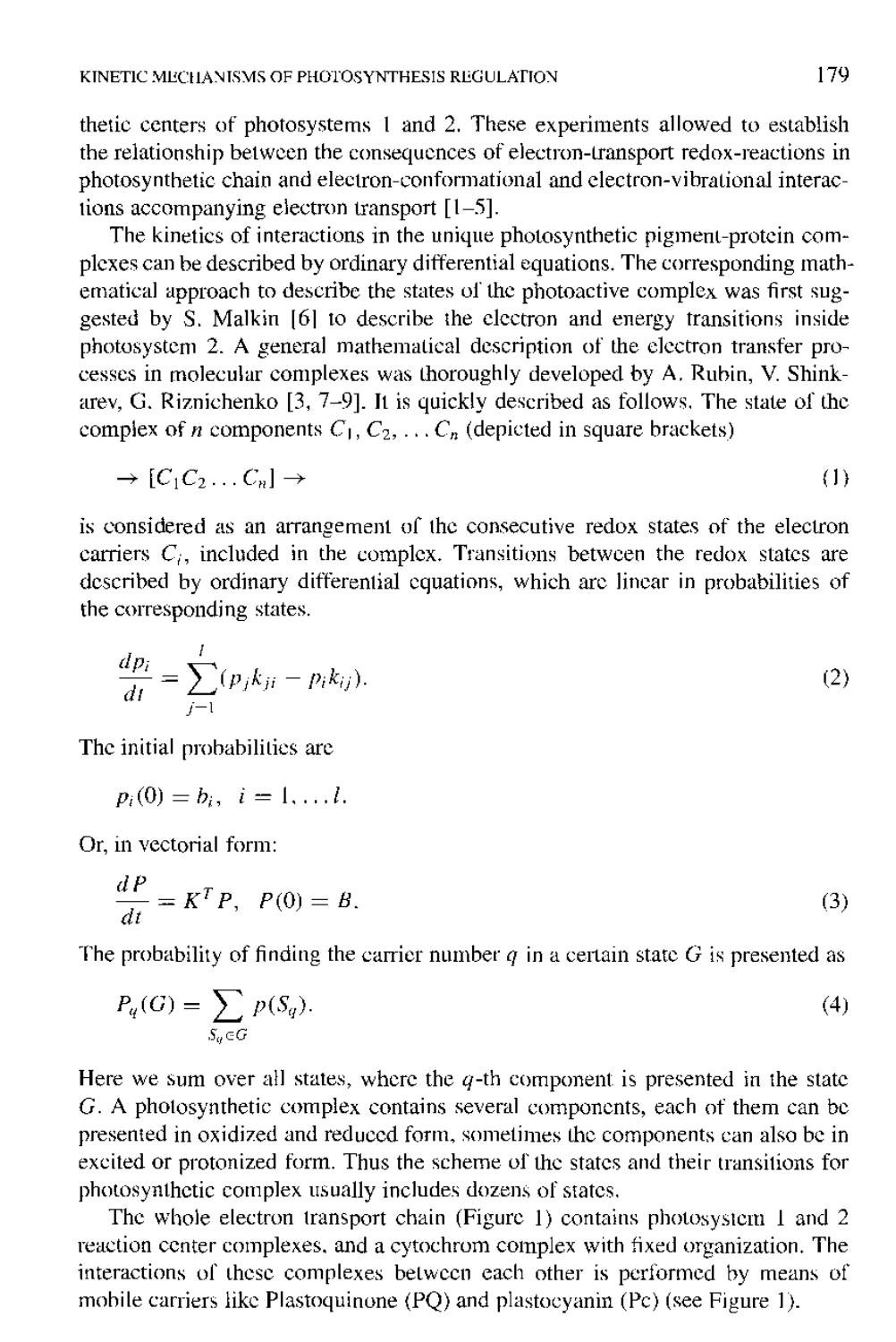thetic centers of phorosystems 1 and 2. These experiments allowed to establish the relationship between the consequences of electron-transport redox-reactions in photosynthetic chain and electron-conformational and electron-vibrational interactions accompanying electron transport  $[1-5]$ .

The kinetics of interactions in the unique photosynthetic pigment-protein complexes can be described by ordinary differential equations. The corresponding mathematical approach to describe the states of the photoactive complex was first suggested by S. Malkin [6] to describe the electron and energy transitions inside photosysrcm 2. A general mathematical description of the electron transfer processcs in molecular complexes was thoroughly developed by A. Rubin, V. Shinkarev, G. Riznichenko [3, 7-9]. It is quickly described as follows. The state of the complex of *n* components  $C_1, C_2, \ldots, C_n$  (depicted in square brackets)

$$
\rightarrow [C_1 C_2 \dots C_n] \rightarrow \tag{1}
$$

is considered as an arrangement of the consecutive redox states of the electron carriers  $C_i$ , included in the complex. Transitions between the redox states are described by ordinary differential equations, which arc linear in probabilities of the corresponding states.

$$
\frac{dp_i}{dt} = \sum_{j=1}^{I} (p_j k_{ji} - p_i k_{ij}).
$$
\n(2)

The initial probabilities are

$$
p_i(0)=b_i, i=1,\ldots l.
$$

Or, in vectorial form:

$$
\frac{dP}{dt} = K^T P, \quad P(0) = B.
$$
\n(3)

The probability of finding the carrier number  $q$  in a certain state  $G$  is presented as

$$
P_q(G) = \sum_{S_q \in G} p(S_q). \tag{4}
$$

Here we sum over all states, where the  $q$ -th component is presented in the state G. A photosynthetic complex contains several components, each of them can be presented in oxidized and reduced form, sometimes the components can also be in excited or protonized form. Thus the scheme of the states and their transitions for photosynthetic complex usually includes dozens of states.

The whole electron transport chain (Figure 1) contains photosystcm 1 and 2 reaction center complexes. and a cytochrom complex with fixed organization. The interactions of these complexes between each other is performed by means of mobile carriers like Plastoquinone (PQ) and plastocyanin (Pc) (see Figure 1).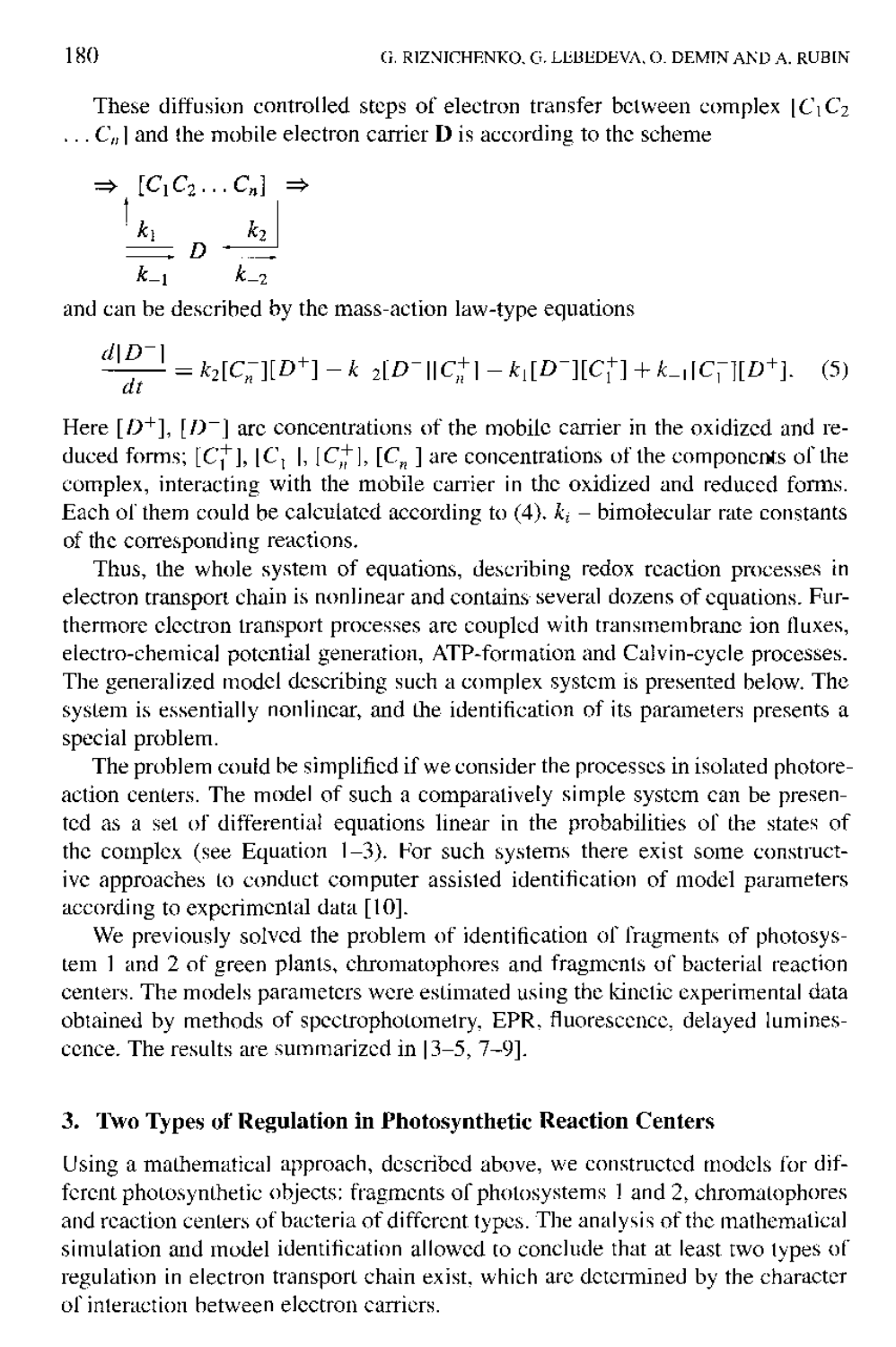These diffusion controlled steps of electron transfer between complex  $|C_1C_2|$  $\ldots$   $C_n$  and the mobile electron carrier **D** is according to the scheme

$$
\Rightarrow \left[\begin{array}{c}C_1C_2\ldots C_n\\k_1\end{array}\right]\Rightarrow \frac{k_1}{k_{-1}}\quad D\quad \frac{k_2}{k_{-2}}
$$

and can be described by the mass-action law-type equations

$$
\frac{d|D^-|}{dt} = k_2[C_n^-][D^+] - k_2[D^-||C_n^+] - k_1[D^-][C_1^+] + k_{-1}[C_1^-][D^+]. \tag{5}
$$

Here  $[D^+]$ ,  $[D^-]$  arc concentrations of the mobile carrier in the oxidized and reduced forms;  $[C_1^+]$ ,  $[C_1^+]$ ,  $[C_n^+]$ ,  $[C_n^+]$  are concentrations of the components of the complex, interacting with the mobile carrier in the oxidized and reduced forms. Each of them could be calculated according to  $(4)$ .  $k_i$  – bimolecular rate constants of the corresponding reactions.

Thus, the whole system of equations, describing redox reaction processes in electron transport chain is nonlinear and contains several dozens of equations. Furthermore electron transport processes are coupled with transmembrane ion fluxes, electro-chemical potential generation, ATP-fonnation and Calvin-cycle processes. The generalized model describing such a complex system is presented below. The system is essentially nonlinear, and the identification of its parameters presents a special problem.

The problem could be simplified if we consider the processes in isolated photoreaction centers. The model of such a comparatively simple system ean be presented as a set of differential equations linear in the probabilities of the states of the complex (see Equation  $1-3$ ). For such systems there exist some constructive approaches to conduct computer assisted identification of model parameters according to experimental data [10].

We previously solved the problem of identification of fragments of photosystem 1 and 2 of green plants, ehromatophores and fragments of bacterial reaction centers. The models parameters were estimated using the kinetic experimental data obtained by methods of spectrophotometry, EPR, fluorescence, delayed luminescence. The results are summarized in 13-5, 7-9].

#### 3. Two Types of Regulation in Photosynthetic Reaction Centers

Using a mathematical approach, described above, we constructed models for different photosynthetic objects: fragments of photosystems 1 and 2, chromatophores and reaction centers of bacteria of different types. The analysis of the mathematical simulation and model identification allowed to conclude that at least two types of regulation in electron transport chain exist, which are determined by the character of interaction between electron carriers.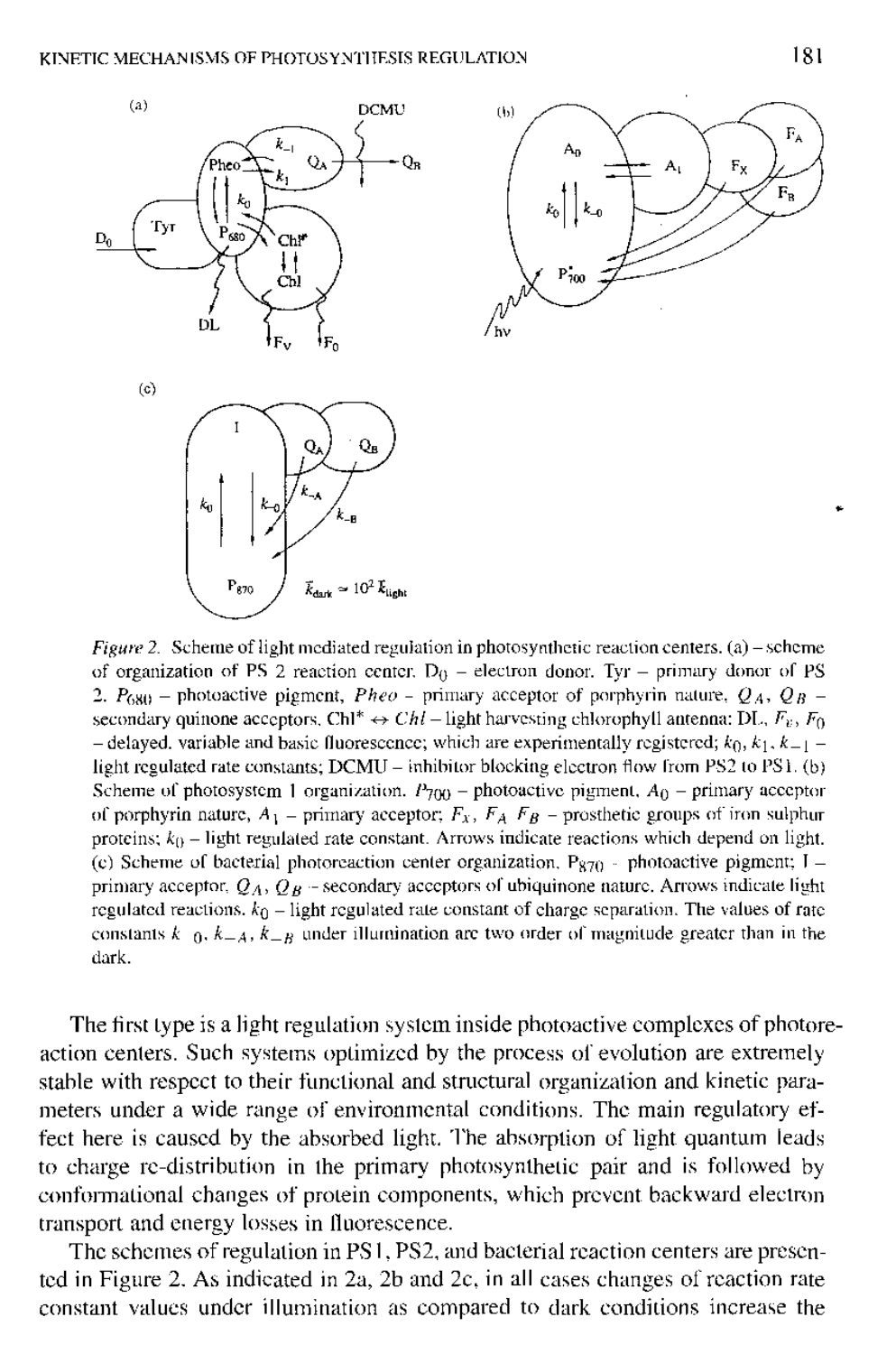

*Figure* 2. Scheme of light mediated regulation in photosynthetic reaction centers. (a) - scheme of organization of PS 2 reaction center.  $D_0$  – electron donor. Tyr – primary donor of PS 2.  $P_{680}$  - photoactive pigment, *Pheo* - primary acceptor of porphyrin nature,  $Q_A$ ,  $Q_B$  secondary quinone acceptors. Chl<sup>\*</sup>  $\leftrightarrow$  *Chl* - light harvesting chlorophyll antenna: DL,  $F_v$ ,  $F_0$ - delayed, variable and basic fluorescence; which are experimentally registered;  $k_0, k_1, k_{-1}$  light regulated rate constants; DCMU - inhibitor blocking electron flow from PS2 to PS1. (b) Scheme of photosystem 1 organization.  $P_{700}$  - photoactive pigment.  $A_0$  - primary acceptor of porphyrin nature,  $A_1$  – primary acceptor;  $F_x$ ,  $F_A$ ,  $F_B$  – prosthetic groups of iron sulphur proteins;  $k_0$  – light regulated rate constant. Arrows indicate reactions which depend on light. (c) Scheme of bacterial photoreaction center organization.  $P_{870}$  - photoactive pigment; I primary acceptor.  $Q_A$ ,  $Q_B$  -secondary acceptors of ubiquinone nature. Arrows indicate light regulated reactions.  $k_0$  - light regulated rate constant of charge separation. The values of rate constants  $k_{0}$ ,  $k_{-A}$ ,  $k_{-B}$  under illumination arc two order of magnitude greater than in the dark.

The first type is a light regulation system inside photoactive complexes of photoreaction centers. Such systems optimized by the process of evolution are extremely stahle with respect to their functional and structural organization and kinetic parameters under a wide range of environmental conditions. The main regulatory effect here is caused by the absorbed light. The absorption of light quantum leads to charge re-distribution in Ihe primary photosynthetic pair and is followed by conformational changes of protein components, which prevent backward electron transport and energy losses in Iluorescence.

The schemes of regulation in PS 1,PS2, and bacterial reaction centers are presented in Figure 2. As indicated in 2a, 2b and Zc. in all cases changes of reaction rate constant values under illumination as compared to dark conditions increase the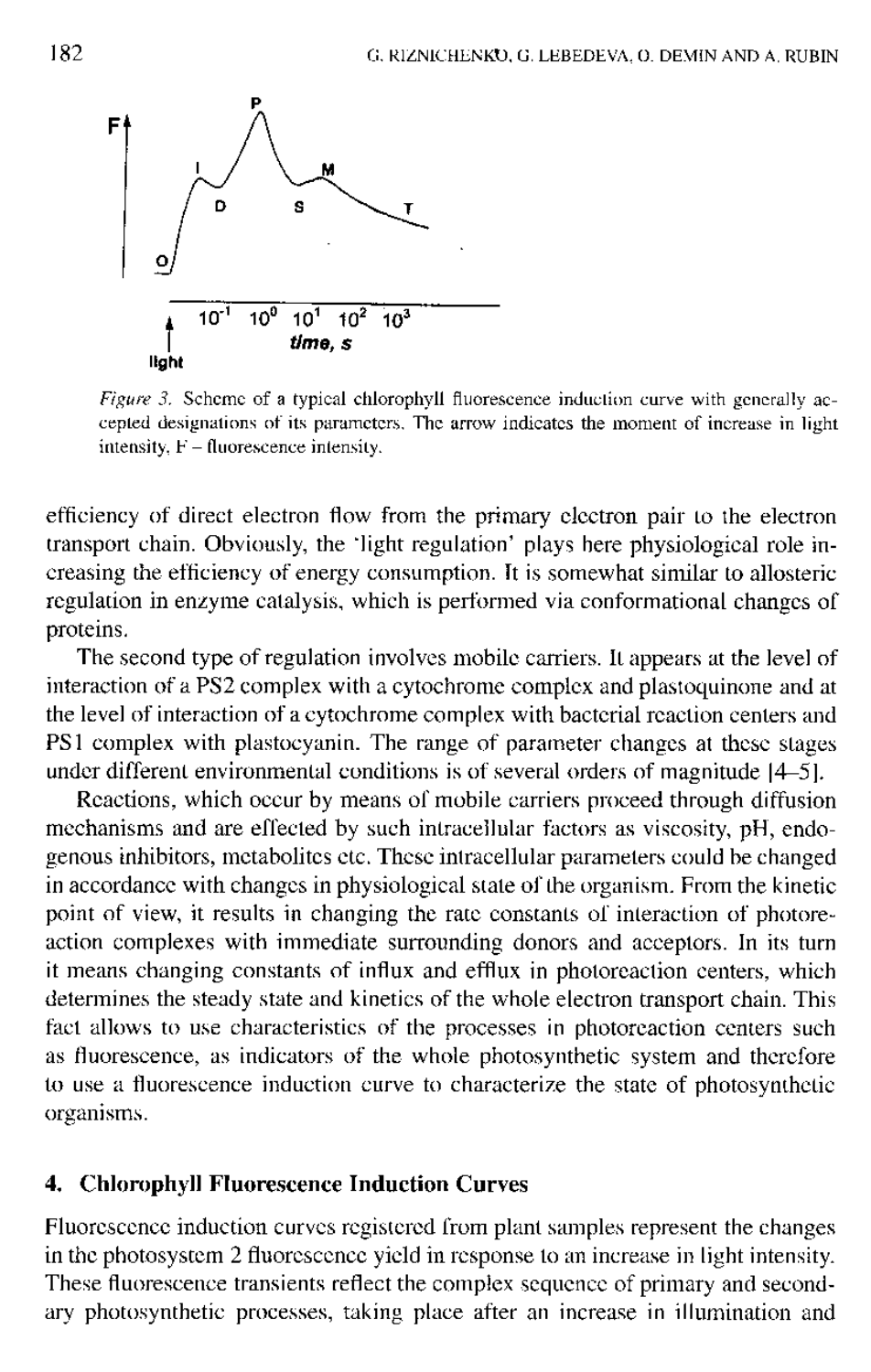

*Figure* 3. Scheme of a typical chlorophyll fluorescence induction curve with generally accepted designations of its parameters. The arrow indicates the moment of increase in light intensity,  $F -$ fluorescence intensity.

efficiency of direct electron flow from the primary electron pair to the electron transport chain. Obviously, the "light regulation' plays here physiological role increasing the efficiency of energy consumption. It is somewhat similar to allosteric regulation in enzyme catalysis, which is performed via conformational changes of proteins.

The second type of regulation involves mobile carriers. It appears at the level of interaction of a PS2 complex with a cytochrome complex and plastoquinone and at the level of interaction of a cytochrome complex with bacterial reaction centers and PS1 complex with plastocyanin. The range of parameter changes at these stages under different environmental conditions is of several orders of magnitude  $[4-5]$ .

Reactions, which occur by means of mobile carriers proceed through diffusion mechanisms and are effected by such intracellular factors as viscosity, pH, endogenous inhibitors, metabolites etc. These intracellular parameters could he changed in accordance with changes in physiological state of the organism. From the kinetic point of view, it results in changing the rate constants of interaction of photoreaction complexes with immediate surrounding donors and acceptors. In its turn it means changing constants of influx and efflux in photoreaction centers, which determines the steady state and kinetics of the whole electron transport chain. This fact allows to use characteristics of the processes in photoreaction centers such as fluorescence, as indicators of the whole photosynthetic system and therefore to use a fluorescence induction curve to characterize the state of photosynthetic organisms.

## 4. Chlorophyll Fluorescence Induction Curves

Fluorescence induction curves registered from plant samples represent the changes in the phorosysrcm 2 fluorescence yield in response to an increase in light intensity. These fluorescence transients reflect the complex sequence of primary and secondary photosynthetic processes, taking place after an increase in illumination and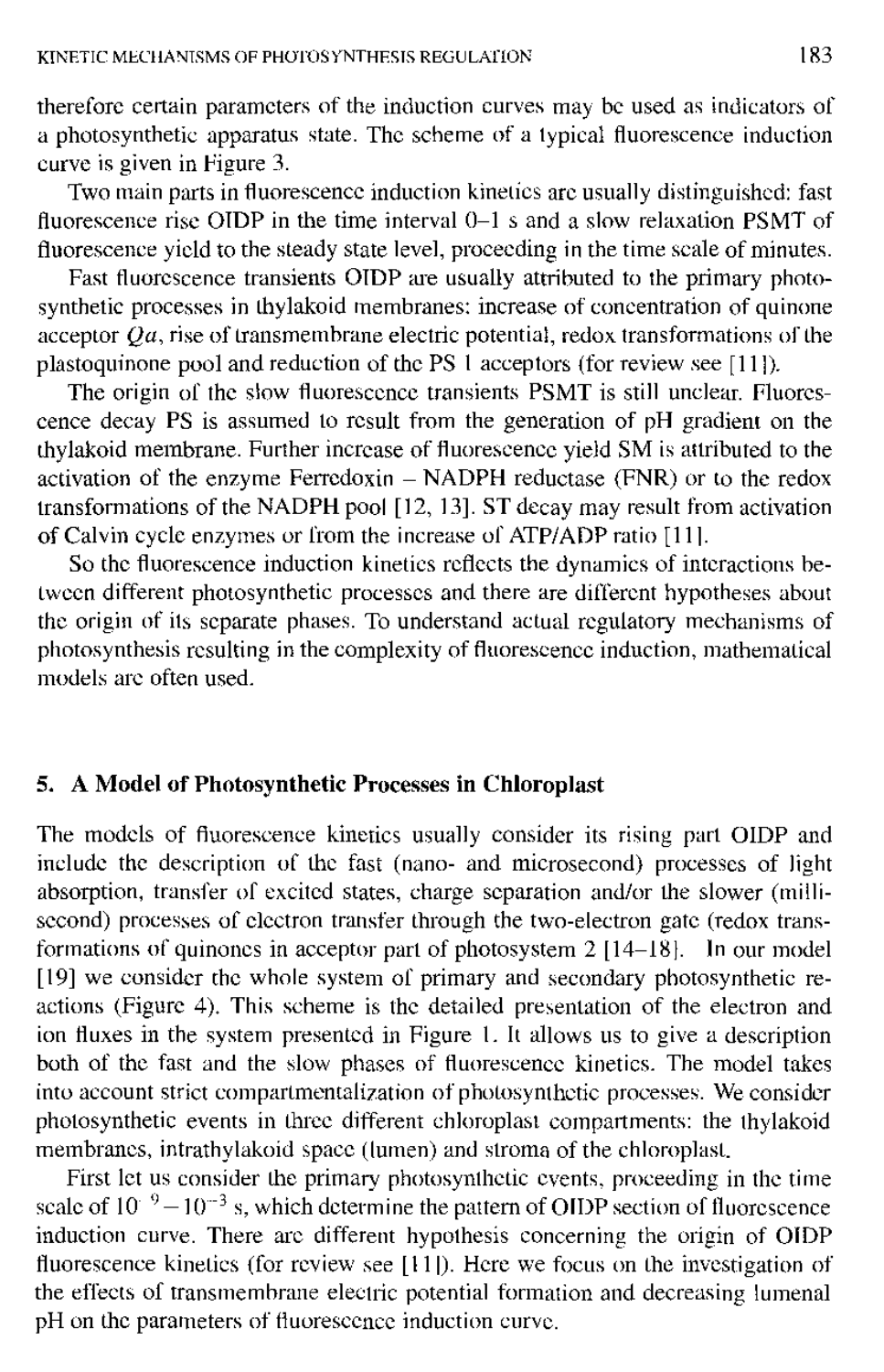therefore certain parameters of the induction curves may be used as indicators of a photosynthetic apparatus state. The scheme of a typical fluorescence induction curve is given in Figure 3.

Two main parts in fluorescence induction kinetics arc usually distinguished: fast fluorescence rise OTDP in the time interval 0-1 s and a slow relaxation PSMT of fluorescence yield to the steady state level, proceeding in the time scale of minutes.

Fast fluorescence transients OTDP are usually attributed to the primary photosynthetic processes in thylakoid membranes: increase of concentration of quinone acceptor  $Qa$ , rise of transmembrane electric potential, redox transformations of the plastoquinone pool and reduction of the PS 1 acceptors (for review see [11]).

The origin of the slow fluorescence transients PSMT is still unclear. Fluorescence decay PS is assumed to result from the generation of pH gradient on the thylakoid membrane. Further increase of fluorescence yield SM is attributed to the activation of the enzyme Ferredoxin - NADPH reductase (FNR) or to the redox transformations of the NADPH pool [12, 13]. ST decay may result from activation of Calvin cycle enzymes or from the increase of ATP/ADP ratio [11].

So the fluorescence induction kinetics reflects the dynamics of interactions between different photosynthetic processes and there are different hypotheses about the origin of its separate phases. To understand actual regulatory mechanisms of photosynthesis resulting in the complexity of fluorescence induction, mathematical models arc often used.

## 5. A Model of Photosynthetic Processes in Chloroplast

The models of fluorescence kinetics usually consider its rising part UlOP and include the description of the fast (nano- and microsecond) processes of light absorption, transfer of excited states, charge separation and/or the slower (millisecond) processes of electron transfer through the two-electron gate (redox transformations of quinones in acceptor part of photosystem 2 [14-18). In our model [19] we consider the whole system of primary and secondary photosynthetic reactions (Figure 4). This scheme is the detailed presentation of the electron and ion fluxes in the system presented in Figure 1. It allows us to give a description both of the fast and the slow phases of fluorescence kinetics. The model takes into account strict compartmentalization of photosynthetic processes. We consider photosynthetic events in three different chloroplast compartments: the thylakoid membranes, intrathylakoid space (lumen) and stroma of the chloroplast.

First let us consider the primary photosynthetic events, proceeding in the time scale of  $10^{-9} - 10^{-3}$  s, which determine the pattern of OIDP section of fluorescence induction curve. There arc different hypothesis concerning the origin of UIDP fluorescence kinetics (for review see [111). Here we focus on the investigation of the effects of transmembrane electric potential formation and decreasing lumenal pH on the parameters of fluorescence induction curve.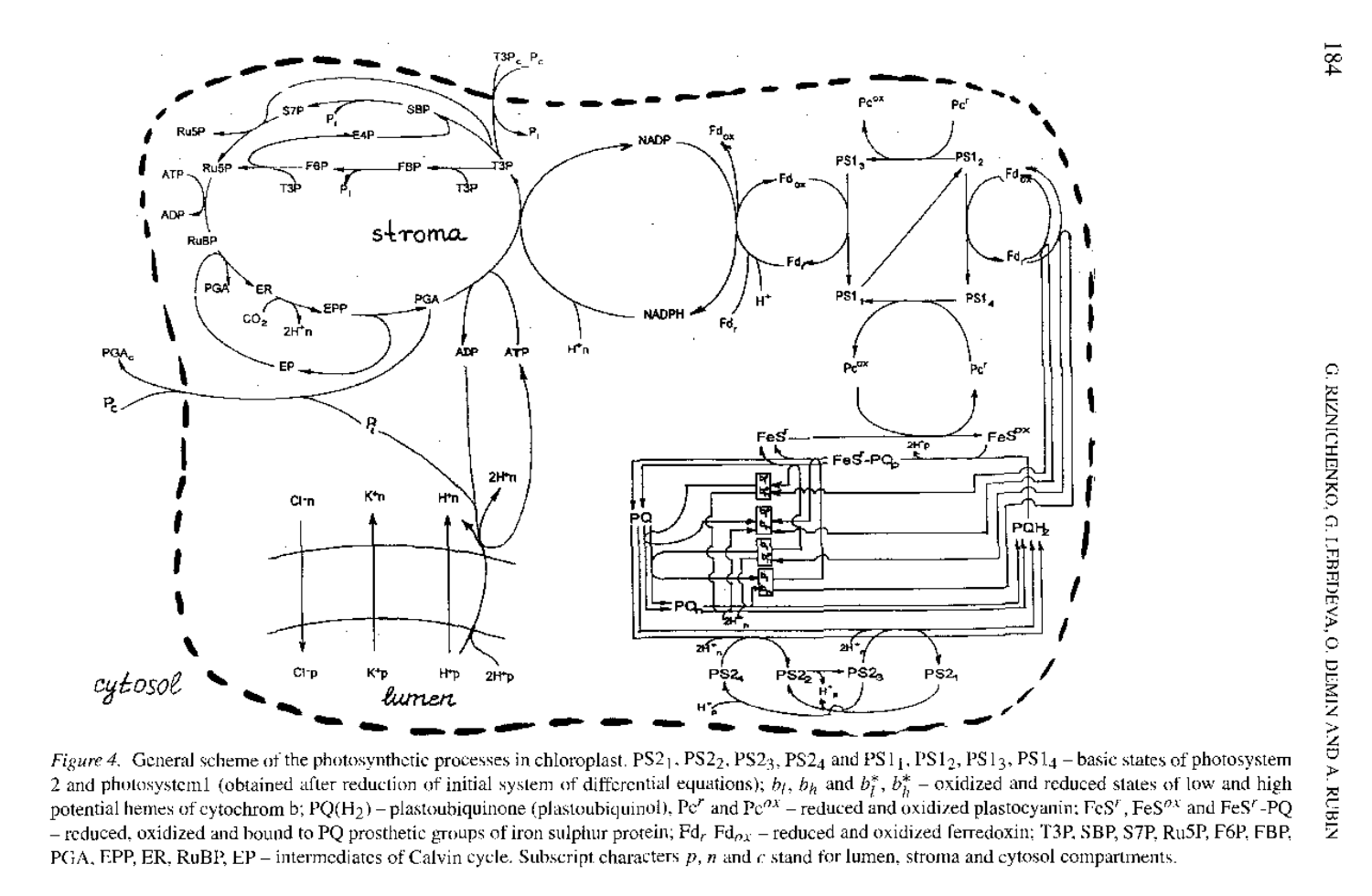

2 and photosysteml (obtained after reduction of initial system of differential equations);  $b_l$ ,  $b_h$  and  $b_l^*$ ,  $b_h^*$  – oxidized and reduced states of low and high potential hemes of cytochrom b;  $PQ(H_2)$  - plastoubiquinone (plastoubiquinol),  $Pe^r$  and  $Pe^{ax}$  - reduced and oxidized plastocyanin;  $FeS^r$ ,  $FeS^{ax}$  and  $FeS^r$ -PQ - reduced, oxidized and hound to PQ prosthetic groups of iron sulphur protein; Fd<sub>r</sub> Fd<sub>ox</sub> - reduced and oxidized ferredoxin; T3P, SBP, S7P, Ru5P, F6P, FBP, PGA, EPP, ER, RuBP, EP – intermediates of Calvin cycle. Subscript characters p, n and *c* stand for lumen, stroma and cytosol compartments.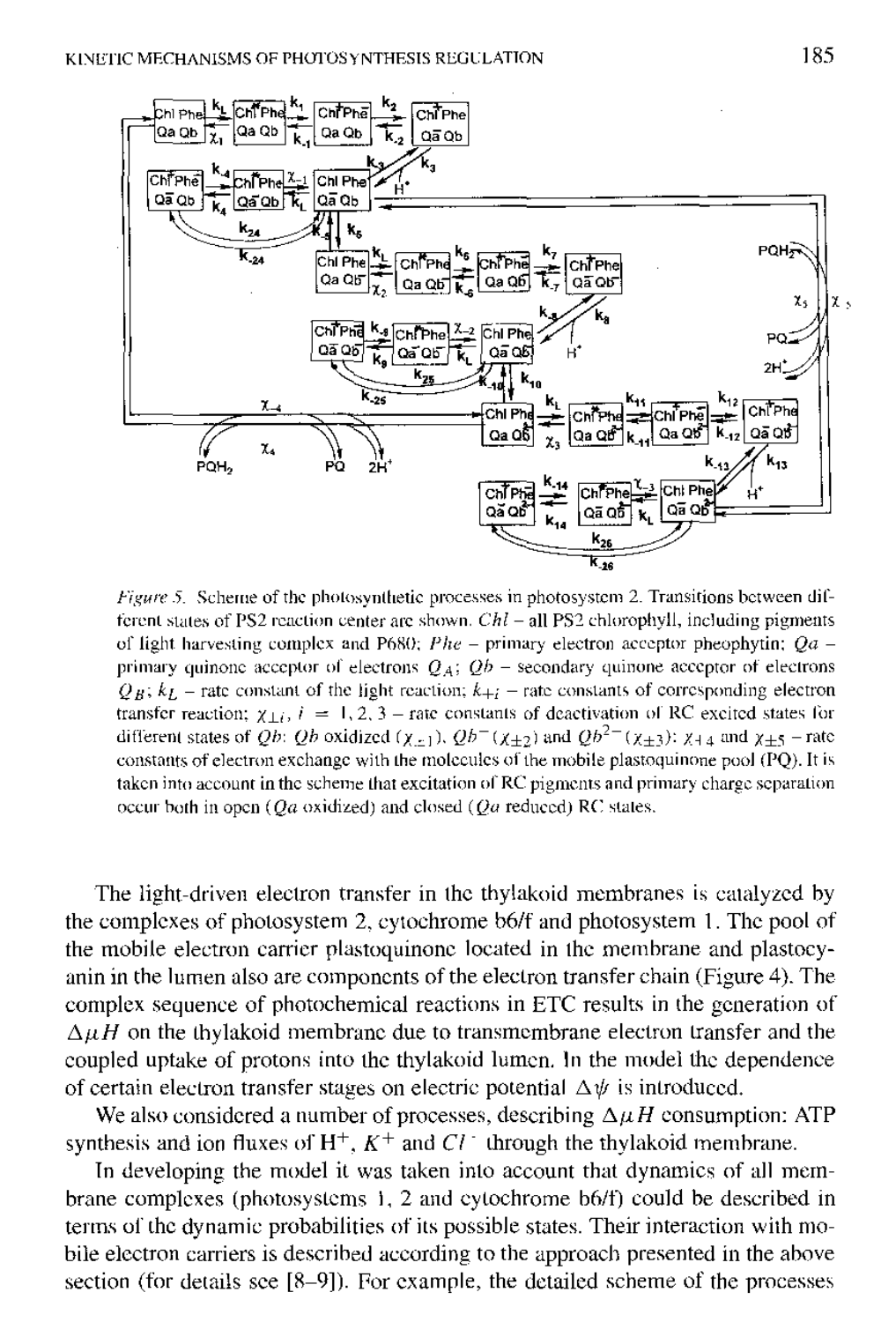

*Figure* 5. Scheme of the photosynthetic processes in photosystem 2. Transitions between difterent states of PS2 reaction center are shown,  $ChI -$  all PS2 chlorophyll, including pigments or light harvesting complex and P6S0; *Pile* - primary electron acceptor pheophytin: *Qa*  primary quinone acceptor of electrons  $Q_A$ :  $Qb$  – secondary quinone acceptor of electrons  $Q_B$ ;  $k_L$  – rate constant of the light reaction;  $k_{+i}$  – rate constants of corresponding electron transfer reaction;  $\chi_{\perp i}$ ,  $i = 1, 2, 3$  - rate constants of deactivation of RC excited states for different states of *Qb: Qb* oxidized  $(\chi_{\pm 1})$ ,  $Qb^{-1}(\chi_{\pm 2})$  and  $Qb^{2-}(\chi_{\pm 3})$ :  $\chi_{\pm 4}$  and  $\chi_{\pm 5}$  - rate constants of electron exchange with the molecules of the mobile plastoquinone pool (PQ). It is taken into account in the scheme that excitation or RC pigments and primary charge separation occur both in open *(Qa* oxidized) and closed *(Qu* reduced) RC stales.

The light-driven electron transfer in the tbylakcid membranes is catalyzed by the complexes of photosystem 2, cytochrome b6ff and photosystem 1. The pool of the mobile electron carrier plastoquinone located in the membrane and plastccyanin in the lumen also are components of the electron transfer chain (Figure 4). The complex sequence of photochemical reactions in ETC results in the generation of  $\Delta\mu H$  on the thylakoid membrane due to transmembrane electron transfer and the coupled uptake of protons into the thylakoid lumen. In the model the dependence of certain electron transfer stages on electric potential  $\Delta\psi$  is introduced.

We also considered a number of processes, describing  $\Delta \mu H$  consumption: ATP synthesis and ion fluxes of  $H^+$ ,  $K^+$  and  $Cl^-$  through the thylakoid membrane.

Tn developing the model it was taken into account that dynamics of all membrane complexes (photosystcms I, 2 and cytochrome b6ft) could be described in terms of the dynamic probabilities of its possible states. Their interaction with mobile electron carriers is described according to the approach presented in the above section (for details see  $[8-9]$ ). For example, the detailed scheme of the processes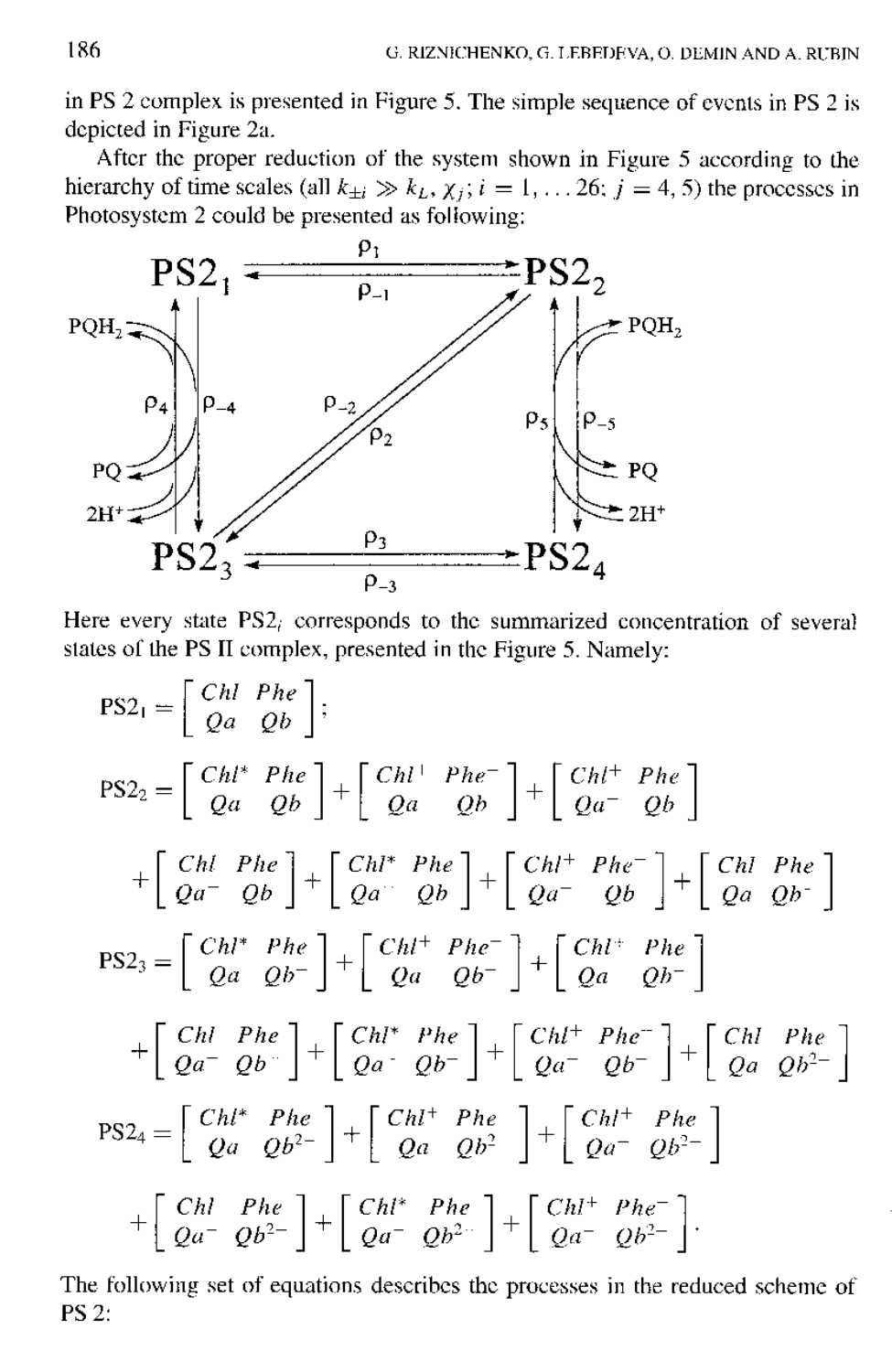in PS 2 complex is presented in Figure 5. The simple sequence of events in PS 2 is depicted in Figure 2a.

After the proper reduction of the system shown in Figure 5 according to the hierarchy of time scales (all  $k_{\pm i} \gg k_L$ ,  $\chi_j$ ;  $i = 1, \ldots 26$ ;  $j = 4, 5$ ) the processes in Photosystcm 2 could be presented as following:



Here every state *PS2i* corresponds to the summarized concentration of several states of the PS II complex, presented in the Figure 5. Namely:

$$
PS2_{1} = \begin{bmatrix} Chl & Phe \\ Qa & Qb \end{bmatrix};
$$
  
\n
$$
PS2_{2} = \begin{bmatrix} Chl^{*} & Phe \\ Qa & Qb \end{bmatrix} + \begin{bmatrix} Chl^{+} & Phe \\ Qa & Qb \end{bmatrix} + \begin{bmatrix} Chl^{+} & Phe \\ Qa^{-} & Qb \end{bmatrix}
$$
  
\n
$$
+ \begin{bmatrix} Chl & Phe \\ Qa^{-} & Qb \end{bmatrix} + \begin{bmatrix} Chl^{*} & Phe \\ Qa^{+} & Qb \end{bmatrix} + \begin{bmatrix} Chl^{+} & Phe^{-} \\ Qa^{-} & Qb \end{bmatrix} + \begin{bmatrix} Chl^{+} & Phe \\ Qa & Qb^{-} \end{bmatrix}
$$
  
\n
$$
PS2_{3} = \begin{bmatrix} Chl^{*} & Phe \\ Qa & Qb^{-} \end{bmatrix} + \begin{bmatrix} Chl^{+} & Phe^{-} \\ Qa & Qb^{-} \end{bmatrix} + \begin{bmatrix} Chl^{+} & Phe^{-} \\ Qa^{-} & Qb^{-} \end{bmatrix} + \begin{bmatrix} Chl^{+} & Phe^{-} \\ Qa^{-} & Qb^{-} \end{bmatrix}
$$
  
\n
$$
PS2_{4} = \begin{bmatrix} Chl^{*} & Phe \\ Qa & Qb^{2-} \end{bmatrix} + \begin{bmatrix} Chl^{+} & Phe \\ Qa & Qb^{2} \end{bmatrix} + \begin{bmatrix} Chl^{+} & Phe^{-} \\ Qa^{-} & Qb^{2-} \end{bmatrix}
$$
  
\n
$$
+ \begin{bmatrix} Chl & Phe \\ Qa^{-} & Qb^{2-} \end{bmatrix} + \begin{bmatrix} Chl^{*} & Phe \\ Qa^{-} & Qb^{2-} \end{bmatrix} + \begin{bmatrix} Chl^{+} & Phe^{-} \\ Qa^{-} & Qb^{2-} \end{bmatrix}.
$$

The following set of equations describes the processes in the reduced scheme of PS 2: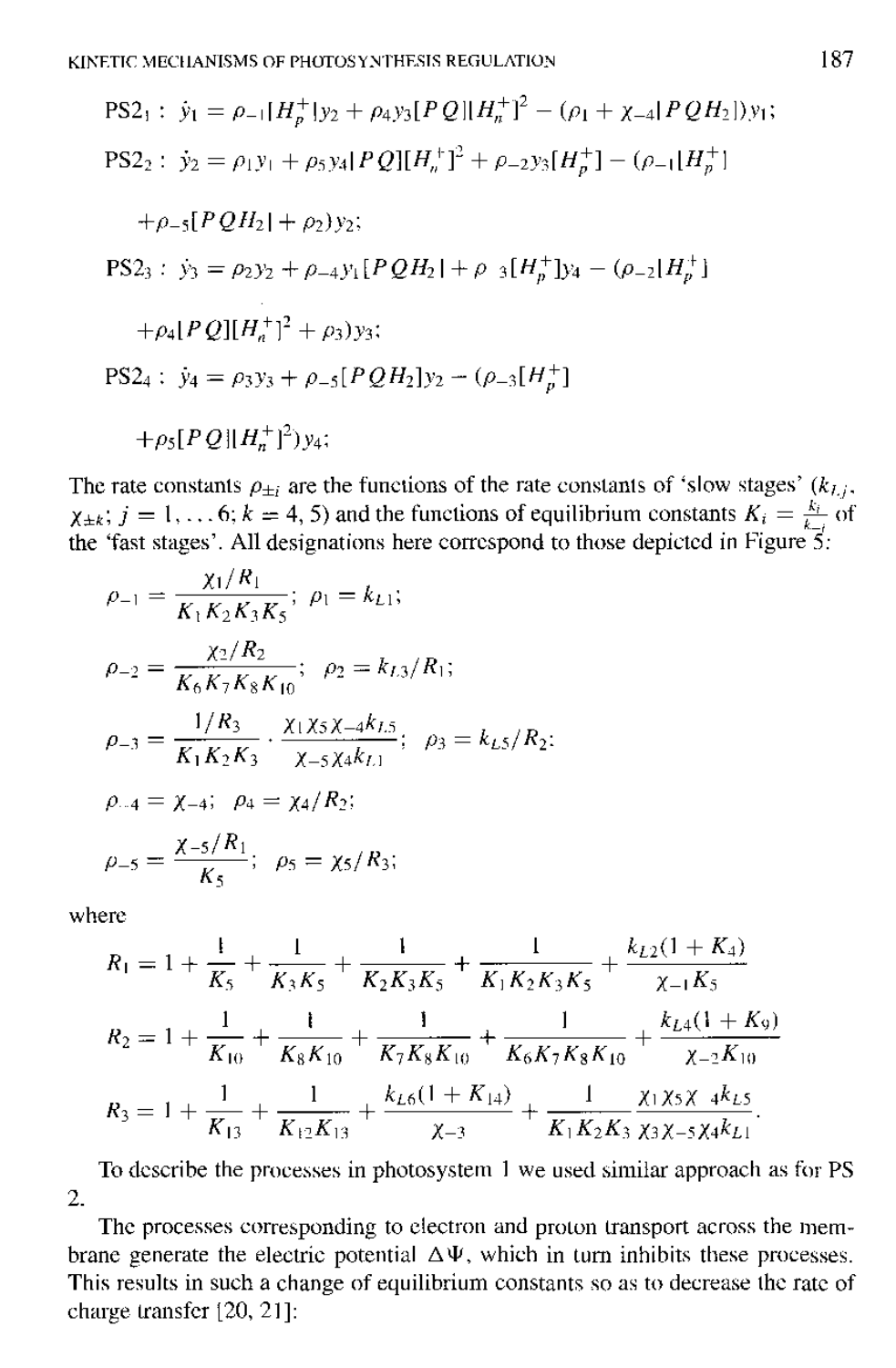PS2<sub>1</sub>: 
$$
\dot{y}_1 = \rho_{-1}[H_p^+]y_2 + \rho_4 y_3[PQ||H_n^+]^2 - (\rho_1 + \chi_{-4}[PQH_2])y_1;
$$
  
\nPS2<sub>2</sub>:  $\dot{y}_2 = \rho_1 y_1 + \rho_5 y_4[PQ][H_n^+]^2 + \rho_{-2} y_3[H_p^+] - (\rho_{-1}[H_p^+])$   
\n $+ \rho_{-5}[PQH_2] + \rho_2) y_2;$   
\nPS2<sub>3</sub>:  $\dot{y}_3 = \rho_2 y_2 + \rho_{-4} y_1[PQH_2] + \rho_{-3}[H_p^+] y_4 - (\rho_{-2}[H_p^+])$   
\n $+ \rho_4[PQ][H_n^+]^2 + \rho_3) y_3;$   
\nPS2<sub>4</sub>:  $\dot{y}_4 = \rho_3 y_3 + \rho_{-5}[PQH_2]y_2 - (\rho_{-3}[H_p^+])$   
\n $+ \rho_5[PQ||H_n^+]^2) y_4;$ 

The rate constants  $\rho_{\pm i}$  are the functions of the rate constants of 'slow stages'  $(k_{L,i})$ .  $\chi_{\pm k}$ ;  $j = 1, \ldots, 6; k = 4, 5$  and the functions of equilibrium constants  $K_i = \frac{k_i}{k_{i,j}}$  of the 'fast stages'. All designations here correspond to those depicted in Figure  $\overline{5}$ :

$$
\rho_{-1} = \frac{\chi_1/R_1}{K_1K_2K_3K_5}; \ \rho_1 = k_{L1};
$$
\n
$$
\rho_{-2} = \frac{\chi_2/R_2}{K_6K_7K_8K_{10}}; \ \rho_2 = k_{L3}/R_1;
$$
\n
$$
\rho_{-3} = \frac{1/R_3}{K_1K_2K_3} \cdot \frac{\chi_1\chi_5\chi_{-4}k_{L5}}{\chi_{-5}\chi_4k_{L1}}; \ \rho_3 = k_{L5}/R_2;
$$
\n
$$
\rho_{-4} = \chi_{-4}; \ \rho_4 = \chi_4/R_2;
$$
\n
$$
\rho_{-5} = \frac{\chi_{-5}/R_1}{K_5}; \ \rho_5 = \chi_5/R_3;
$$

where

$$
R_1 = 1 + \frac{1}{K_5} + \frac{1}{K_3 K_5} + \frac{1}{K_2 K_3 K_5} + \frac{1}{K_1 K_2 K_3 K_5} + \frac{k_{L2} (1 + K_4)}{\chi_{-1} K_5}
$$
  
\n
$$
R_2 = 1 + \frac{1}{K_{10}} + \frac{1}{K_8 K_{10}} + \frac{1}{K_7 K_8 K_{10}} + \frac{1}{K_6 K_7 K_8 K_{10}} + \frac{k_{L4} (1 + K_9)}{\chi_{-2} K_{10}}
$$
  
\n
$$
R_3 = 1 + \frac{1}{K_{13}} + \frac{1}{K_{12} K_{13}} + \frac{k_{L6} (1 + K_{14})}{\chi_{-3}} + \frac{1}{K_1 K_2 K_3} \frac{\chi_{1} \chi_{5} \chi_{4} k_{L5}}{\chi_{3} \chi_{-5} \chi_{4} k_{L1}}.
$$

To describe the processes in photosystem 1 we used similar approach as for PS 2.

The processes corresponding to electron and proton transport across the membrane generate the electric potential  $\Delta \Psi$ , which in turn inhibits these processes. This results in such a change of equilibrium constants so as to decrease the rate of charge transfer [20, 21]: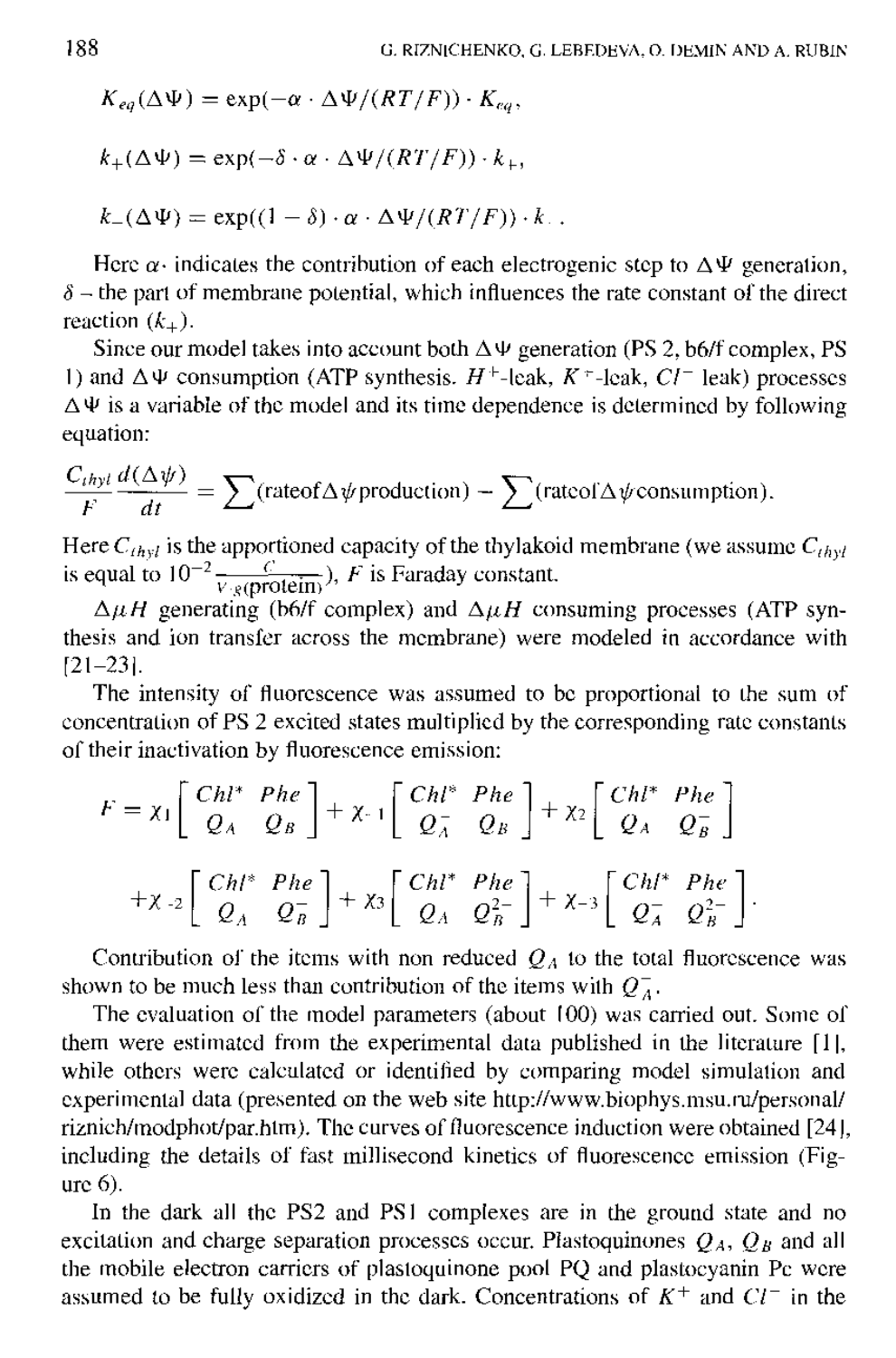$$
K_{eq}(\Delta\Psi) = \exp(-\alpha \cdot \Delta\Psi/(RT/F)) \cdot K_{eq},
$$
  

$$
k_{+}(\Delta\Psi) = \exp(-\delta \cdot \alpha \cdot \Delta\Psi/(RT/F)) \cdot k_{+},
$$
  

$$
k_{-}(\Delta\Psi) = \exp((1-\delta) \cdot \alpha \cdot \Delta\Psi/(RT/F)) \cdot k_{-}.
$$

Here  $\alpha$  indicates the contribution of each electrogenic step to  $\Delta \Psi$  generation,  $\delta$  – the part of membrane potential, which influences the rate constant of the direct reaction  $(k_{+})$ .

Since our model takes into account both  $\Delta\Psi$  generation (PS 2, b6/f complex, PS 1) and  $\Delta\Psi$  consumption (ATP synthesis.  $H^+$ -leak,  $K^+$ -leak,  $Cl^-$  leak) processes  $\Delta\Psi$  is a variable of the model and its time dependence is determined by following equation:

$$
\frac{C_{thyl}}{F} \frac{d(\Delta \psi)}{dt} = \sum (\text{rateof } \Delta \psi \text{ production}) - \sum (\text{rateof } \Delta \psi \text{ consumption}).
$$

Here  $C_{thyl}$  is the apportioned capacity of the thylakoid membrane (we assume  $C_{thyl}$ ) is equal to  $10^{-2} \frac{C}{V_{\text{eff}}(\text{protein})}$ , *F* is Faraday constant.

 $\Delta \mu H$  generating (b6/f complex) and  $\Delta \mu H$  consuming processes (ATP synthesis and ion transfer across the membrane) were modeled in accordance with  $[21-23]$ .

The intensity of fluorescence was assumed to be proportional to the sum of concentration of PS 2 excited states multiplied by the corresponding rate constants of their inactivation by fluorescence emission:

$$
F = \chi_1 \left[ \begin{array}{cc} Chl^* & Phe \\ Q_A & Q_B \end{array} \right] + \chi_{-1} \left[ \begin{array}{cc} Chl^* & Phe \\ Q_A & Q_B \end{array} \right] + \chi_2 \left[ \begin{array}{cc} Chl^* & Phe \\ Q_A & Q_B \end{array} \right]
$$
  
+
$$
\chi_{-2} \left[ \begin{array}{cc} Chl^* & Phe \\ Q_A & Q_B \end{array} \right] + \chi_3 \left[ \begin{array}{cc} Chl^* & Phe \\ Q_A & Q_B^2 \end{array} \right] + \chi_{-3} \left[ \begin{array}{cc} Chl^* & Phe \\ Q_A & Q_B^2 \end{array} \right].
$$

Contribution of the items with non reduced  $Q_A$  to the total fluorescence was shown to be much less than contribution of the items with  $Q_{A}^{-}$ .

The evaluation of the model parameters (about 100) was carried out. Some of them were estimated from the experimental data published in the literature [11. while others were calculated or identified by comparing model simulation and experimental data (presented on the web site htlp://www.biophys.msu.ru/personal/ riznich/modphot/par.htm). The curves of fluorescence induction were obtained [24], including the details of fast millisecond kinetics of fluorescence emission (Figure 6).

In the dark all the PS2 and PS1 complexes are in the ground state and no excitation and charge separation processes occur. Plastoquinones  $Q_A$ ,  $Q_B$  and all the mobile electron carriers of plastoquinone pool PQ and plastocyanin Pc were assumed to be fully oxidized in the dark. Concentrations of  $K^+$  and  $Cl^-$  in the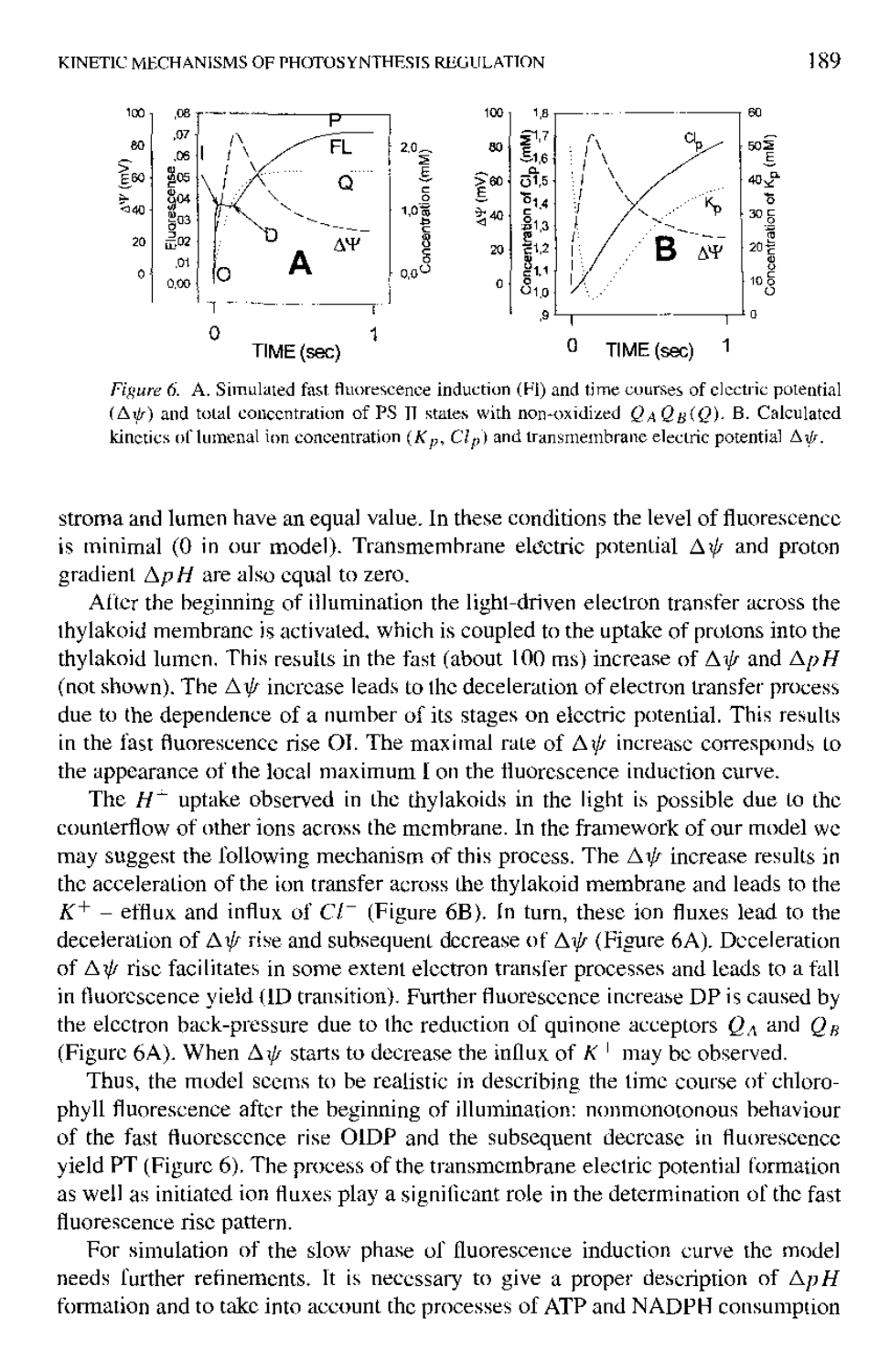

*Figure* 6. A. Simulated fast fluorescence induction (FI) and time courses of electric potential  $(\Delta \psi)$  and total concentration of PS II states with non-oxidized  $Q_A Q_B(Q)$ . B. Calculated kinetics of lumenal ion concentration  $(K_p, Cl_p)$  and transmembrane electric potential  $\Delta \psi$ .

stroma and lumen have an equal value. In these conditions the level of fluorescence is minimal (0 in our model). Transmembrane electric potential  $\Delta \psi$  and proton gradient  $\Delta p$  H are also equal to zero.

After the beginning of illumination the light-driven electron transfer across the thylakoid membrane is activated. which is coupled to the uptake of protons into the thylakoid lumen. This results in the fast (about 100 ms) increase of  $\Delta \psi$  and  $\Delta pH$ (not shown). The  $\Delta\psi$  increase leads to the deceleration of electron transfer process due to the dependence of a number of its stages on electric potential. This results in the fast fluorescence rise OI. The maximal rate of  $\Delta \psi$  increase corresponds to the appearance of the local maximum I on the fluorescence induction curve.

The  $H^{\pm}$  uptake observed in the thylakoids in the light is possible due to the counterflow of other ions across the membrane. In the framework of our model we may suggest the following mechanism of this process. The  $\Delta \psi$  increase results in the acceleration of the ion transfer across the thylakoid membrane and leads to the  $K^+$  – efflux and influx of  $Cl^-$  (Figure 6B). In turn, these ion fluxes lead to the deceleration of  $\Delta \psi$  rise and subsequent decrease of  $\Delta \psi$  (Figure 6A). Deceleration of  $\Delta \psi$  rise facilitates in some extent electron transfer processes and leads to a fall in fluorescence yield (lD transition). Further fluorescence increase DP is caused by the electron back-pressure due to the reduction of quinone acceptors  $Q_A$  and  $Q_B$ (Figure 6A). When  $\Delta \psi$  starts to decrease the influx of  $K^{\perp}$  may be observed.

Thus, the model seems to be realistic in describing the time course of chlorophyll fluorescence after the beginning of illumination: nonmonotonous behaviour of the fast fluorescence rise OIDP and the subsequent decrease in fluorescence yield PT (Figure 6). The process of the transmembrane electric potential formation as well as initiated ion fluxes playa significant role in the determination of the fast fluorescence rise pattern.

For simulation of the slow phase of fluorescence induction curve the model needs further refinements. It is necessary to give a proper description of  $\Delta p$  H formation and to take into account the processes of ATP and NADPH consumption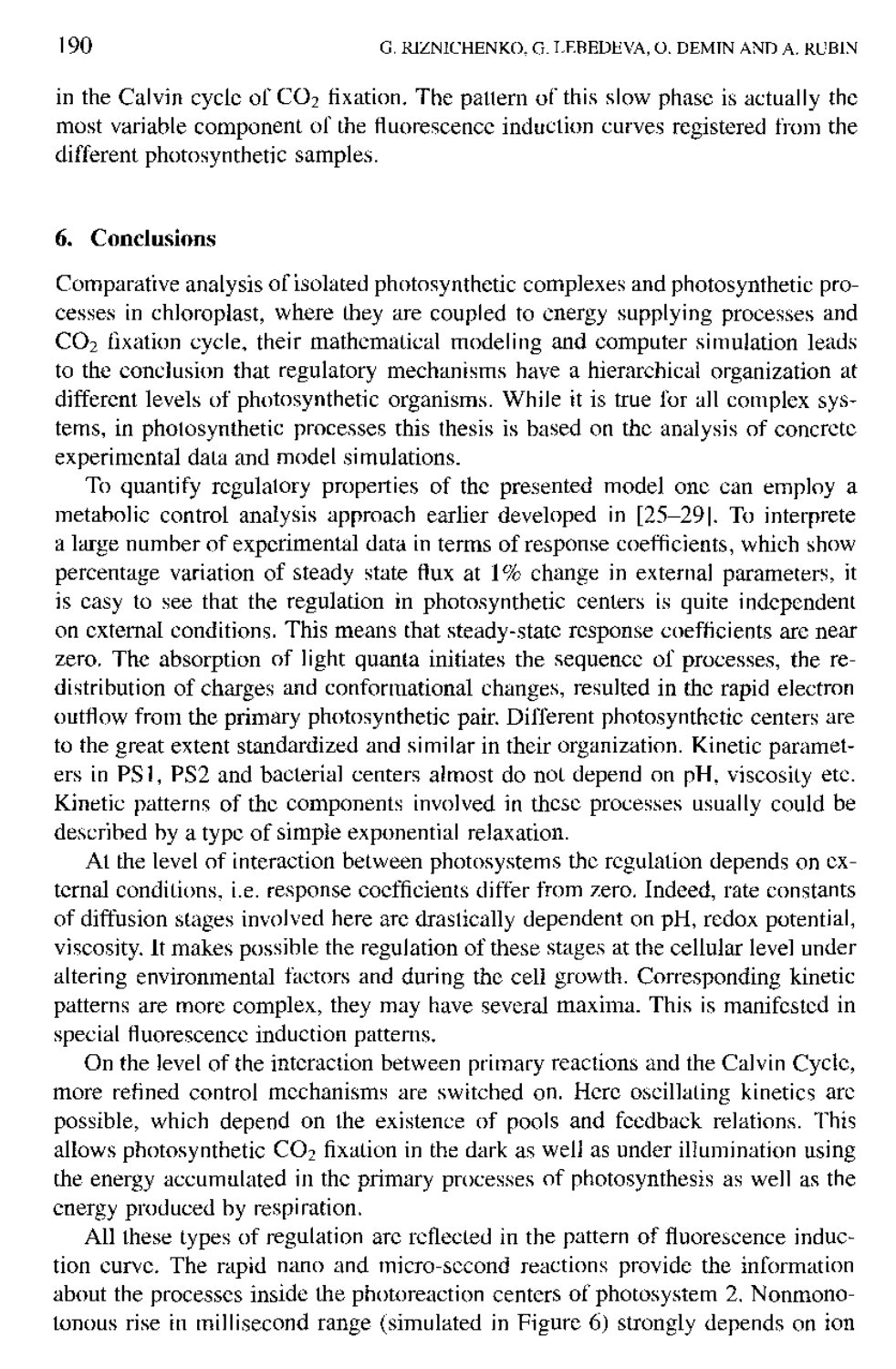in the Calvin cycle of  $CO<sub>2</sub>$  fixation. The pattern of this slow phase is actually the most variable component of the fluorescence induction curves registered from the different photosynthetic samples.

#### **6. Conclusions**

Comparative analysis of isolated photosynthetic complexes and photosynthetic processes in chloroplast, where they are coupled to energy supplying processes and  $CO<sub>2</sub>$  fixation cycle, their mathematical modeling and computer simulation leads to the conclusion that regulatory mechanisms have a hierarchical organization at different levels of photosynthetic organisms. While it is true for all complex systerns, in photosynthetic processes this thesis is based on the analysis of concrete experimental data and model simulations.

To quantify regulatory properties of the presented model one can employ a metabolic control analysis approach earlier developed in [25-291. To interprete a large number of experimental data in terms of response coefficients, which show percentage variation of steady state flux at 1% change in external parameters, it is easy to see that the regulation in photosynthetic centers is quite independent on external conditions. This means that steady-state response coefficients arc near zero. The absorption of light quanta initiates the sequence of processes, the redistribution of charges and conformational changes, resulted in the rapid electron outflow from the primary photosynthetic pair. Different photosynthetic centers are to the great extent standardized and similar in their organization. Kinetic parameters in PSI, PS2 and bacterial centers almost do not depend on pH, viscosity etc. Kinetic patterns of the components involved in these processes usually could be described by a type of simple exponential relaxation.

At the level of interaction between photosystems the regulation depends on external conditions, i.e. response coefficients differ from zero. Indeed, rate constants of diffusion stages involved here arc drastically dependent on pH, redox potential, viscosity. <sup>11</sup> makes possible the regulation of these stages at the cellular level under altering environmental factors and during the cell growth. Corresponding kinetic patterns are more complex, they may have several maxima. This is manifested in special fluorescence induction patterns.

On the level of the interaction between primary reactions and the Calvin Cycle, more refined control mechanisms are switched on. Here oscillating kinetics arc possible, which depend on the existence of pools and feedback relations. This allows photosynthetic  $CO<sub>2</sub>$  fixation in the dark as well as under illumination using the energy accumulated in the primary processes of photosynthesis as well as the energy produced by respiration.

All these types of regulation arc reflected in the pattern of fluorescence induction curve. The rapid nano and micro-second reactions provide the information about the processes inside the photoreaction centers of phorosystem 2. Nonmonotonous rise in millisecond range (simulated in Figure 6) strongly depends on ion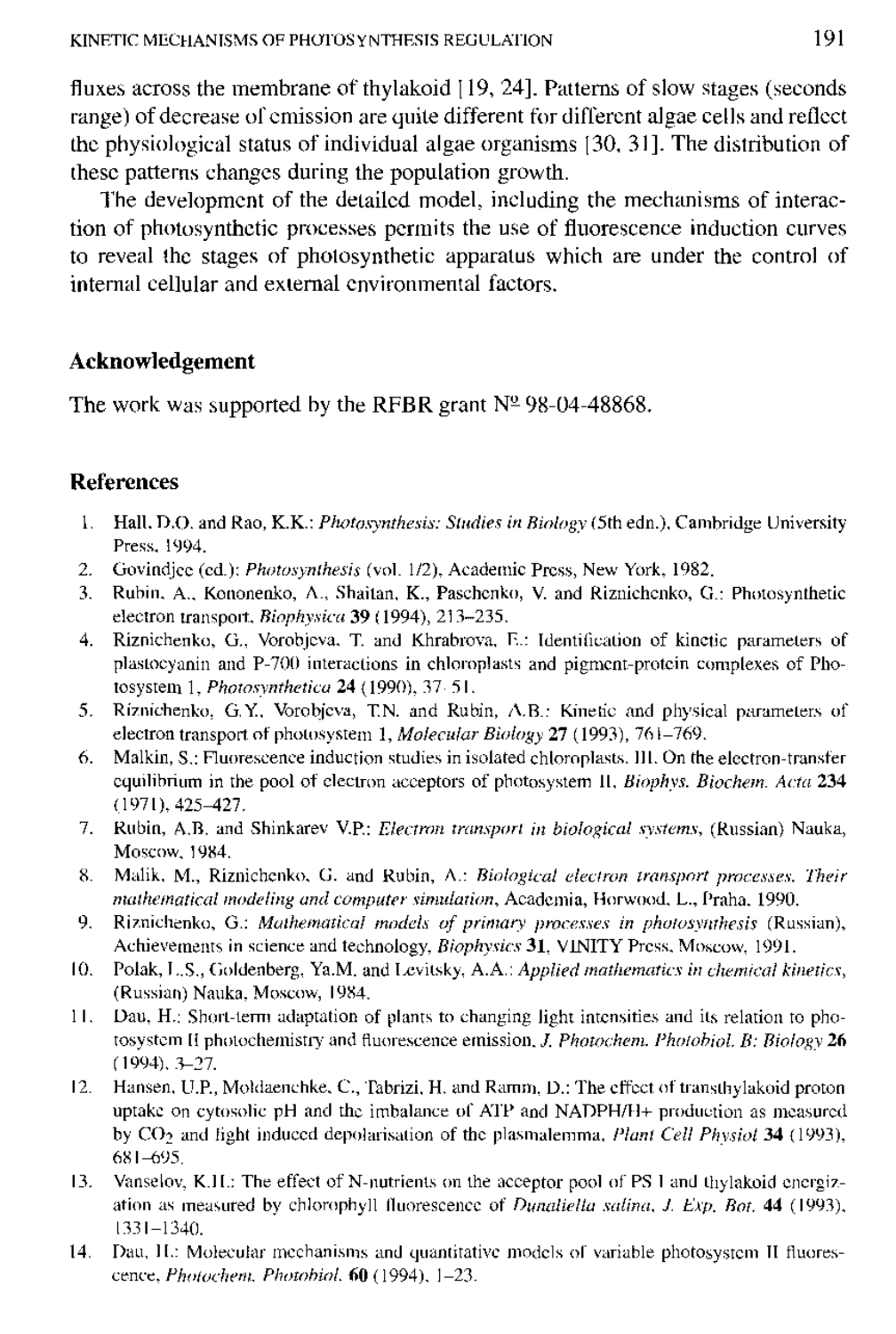fluxes across the membrane of thylakoid 119, 24]. Patterns of slow stages (seconds range) of decrease of emission are quite different for different aJgae cells and reflect the physiological status of individual algae organisms 130, 31]. The distribution of these patterns changes during the population growth.

The development of the derailed model, including the mechanisms of interaction of photosynthetic processes permits the use of fluorescence induction curves to reveal the stages of photosynthetic apparatus which are under the control of internal cellular and external environmental factors.

#### **Acknowledgement**

The work was supported by the RFBR grant  $N^{\circ}$  98-04-48868.

## References

- 1. Hall. D.O. and Rao, K.K.: *Photosynthesis: Studies in Biology* (5th edn.). Cambridge University Press. 1994.
- 2. Govindjcc (cd.]: *Photosynthesis* (vel. 1/2). Academic Press, New York. 1982.
- 3. Rubin. A.. Kononenko, A.• Shaitan. K, Paschcnko, V. and Riznichcnko, G.: Photosynthetic electron transport. *Biophysica* 39 (1994), 213-235.
- 4. Rizruchenko, G.. Vorobjcva. T. and Khrabrova. E.: Identification of kinetic parameters of plastocyanin and P-700 interactions in chloroplasts and pigment-protein complexes of Photosystem 1, *Photosvnthetica* 24 (1990). 37, 51.
- 5. Rizruchenko, G.Y.. Vorobjeva, T.N. and Rubin, AB.: Kinetic and physical parameters of electron transport of photusystem 1, *Molecular Biology* 27 (1993), 761-769.
- 6. Malkin, S.: Fluorescence induction studies in isolated chloroplasts. III. On the electron-transfer equilibrium in the pool of electron acceptors of photosystem II. *Biophys. Biochem. Acta 234* (1971). 425-427.
- 7. Rubin, A.B. and Shinkarev V.P.: *Electron transport in biological systems*, (Russian) Nauka, Moscow. 19X4.
- X. Malik. M., Riznichcnko. G. and Rubin, A.: *Biological electron transport Processes- Their mathematical modeling and computersimulation,* Academia, Horwood. L., I'raha. 1990.
- 9. Riznichenko, G.: *Mathematical models of primary processes in photosynthesis* (Russian), Achievements in science and technology, *Biophysics* 31. VlNITY Press. Moscow. 1991.
- 10. Polak, I..S., Goldenberg. Ya.M. and Levitsky, A.A.: *Applied mathematics in chemica! kinetics,* (Russian) Nauka, Moscow, 1984.
- 11. Dau, H.: Short-term adaptation of plants to changing light intensities and its relation to photosysrcm Il photochemistry and fluorescence emission. 1. *Photochem. Photobiol.* B: *Biology 26*  $(1994), 3 - 27.$
- 12. Hansen, U.P., Moldaenchke, C., Tabrizi, H. and Ramm, D.: The effect of transthylakoid proton uptake on cytoxulic pH and the imbalance of ATP and NADPH/H+ production as measured by CO<sub>2</sub> and light induced depolarisation of the plasmalemma. *Plant Cell Physiol* 34 (1993), 681-695.
- 13. Vanselov, K.H.: The effect of N-nutrients on the acceptor pool of PS I and thylakoid energization as measured by chlorophyll fluorescence of *Dunaliella salina, J. Exp. Bot.* 44 (1993). 1331-1340.
- 14, Dan. IL: Molecular mechanisms ami quantitative models or variable phorosysrcm <sup>11</sup> fluorescence. *Photochem. Photobiol.* 60 (1994). 1-23.